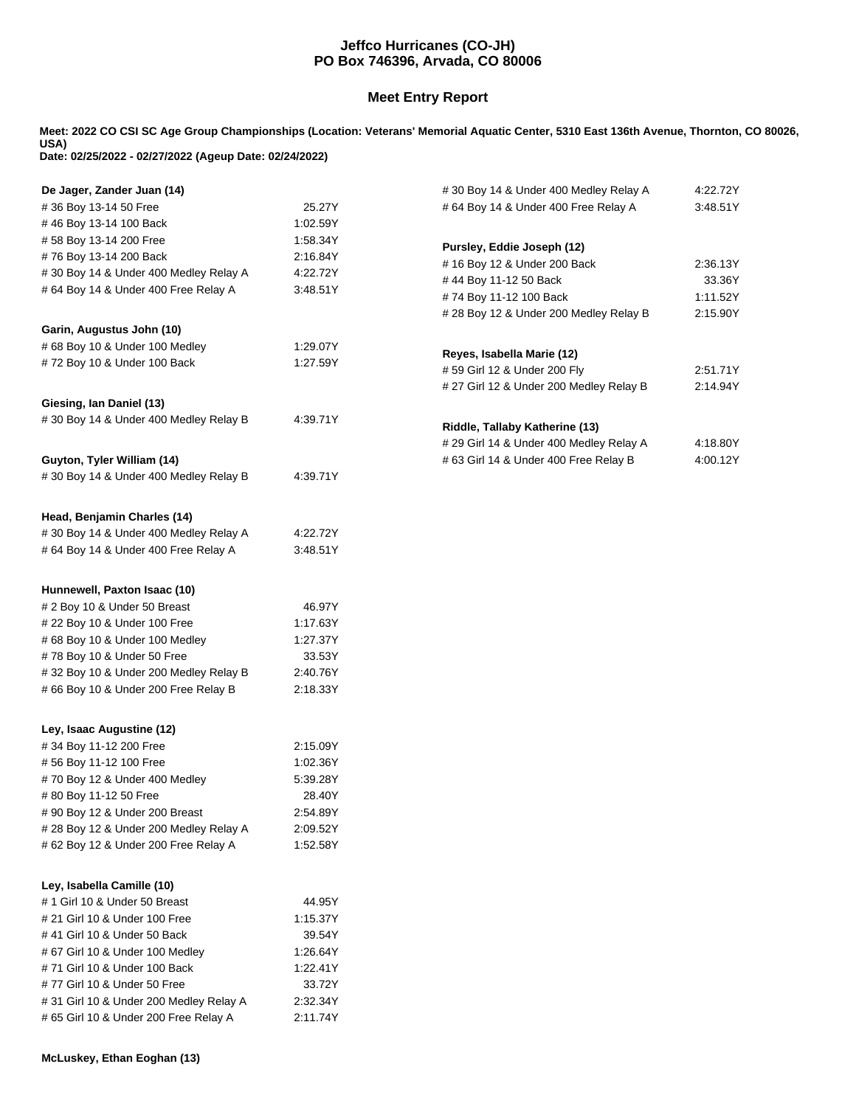## **Jeffco Hurricanes (CO-JH) PO Box 746396, Arvada, CO 80006**

## **Meet Entry Report**

**Meet: 2022 CO CSI SC Age Group Championships (Location: Veterans' Memorial Aquatic Center, 5310 East 136th Avenue, Thornton, CO 80026, USA) Date: 02/25/2022 - 02/27/2022 (Ageup Date: 02/24/2022)**

| De Jager, Zander Juan (14)             |          | #30 Boy 14 & Under 400 Medley Relay A                            | 4:22.72Y             |
|----------------------------------------|----------|------------------------------------------------------------------|----------------------|
| #36 Boy 13-14 50 Free                  | 25.27Y   | # 64 Boy 14 & Under 400 Free Relay A<br>3:48.51Y                 |                      |
| #46 Boy 13-14 100 Back                 | 1:02.59Y |                                                                  |                      |
| #58 Boy 13-14 200 Free                 | 1:58.34Y | Pursley, Eddie Joseph (12)                                       |                      |
| #76 Boy 13-14 200 Back                 | 2:16.84Y | # 16 Boy 12 & Under 200 Back                                     | 2:36.13Y             |
| #30 Boy 14 & Under 400 Medley Relay A  | 4:22.72Y |                                                                  | 33.36Y               |
| # 64 Boy 14 & Under 400 Free Relay A   | 3:48.51Y | #44 Boy 11-12 50 Back                                            |                      |
|                                        |          | #74 Boy 11-12 100 Back<br># 28 Boy 12 & Under 200 Medley Relay B | 1:11.52Y<br>2:15.90Y |
| Garin, Augustus John (10)              |          |                                                                  |                      |
| # 68 Boy 10 & Under 100 Medley         | 1:29.07Y |                                                                  |                      |
| #72 Boy 10 & Under 100 Back            | 1:27.59Y | Reyes, Isabella Marie (12)                                       |                      |
|                                        |          | #59 Girl 12 & Under 200 Fly                                      | 2:51.71Y             |
|                                        |          | # 27 Girl 12 & Under 200 Medley Relay B                          | 2:14.94Y             |
| Giesing, Ian Daniel (13)               |          |                                                                  |                      |
| #30 Boy 14 & Under 400 Medley Relay B  | 4:39.71Y | Riddle, Tallaby Katherine (13)                                   |                      |
|                                        |          | # 29 Girl 14 & Under 400 Medley Relay A                          | 4:18.80Y             |
| Guyton, Tyler William (14)             |          | # 63 Girl 14 & Under 400 Free Relay B                            | 4:00.12Y             |
| #30 Boy 14 & Under 400 Medley Relay B  | 4:39.71Y |                                                                  |                      |
|                                        |          |                                                                  |                      |
| Head, Benjamin Charles (14)            |          |                                                                  |                      |
| #30 Boy 14 & Under 400 Medley Relay A  | 4:22.72Y |                                                                  |                      |
| # 64 Boy 14 & Under 400 Free Relay A   | 3:48.51Y |                                                                  |                      |
| Hunnewell, Paxton Isaac (10)           |          |                                                                  |                      |
| # 2 Boy 10 & Under 50 Breast           | 46.97Y   |                                                                  |                      |
| # 22 Boy 10 & Under 100 Free           | 1:17.63Y |                                                                  |                      |
| # 68 Boy 10 & Under 100 Medley         | 1:27.37Y |                                                                  |                      |
| #78 Boy 10 & Under 50 Free             | 33.53Y   |                                                                  |                      |
| #32 Boy 10 & Under 200 Medley Relay B  | 2:40.76Y |                                                                  |                      |
| #66 Boy 10 & Under 200 Free Relay B    | 2:18.33Y |                                                                  |                      |
|                                        |          |                                                                  |                      |
| Ley, Isaac Augustine (12)              |          |                                                                  |                      |
| #34 Boy 11-12 200 Free                 | 2:15.09Y |                                                                  |                      |
| #56 Boy 11-12 100 Free                 | 1:02.36Y |                                                                  |                      |
| #70 Boy 12 & Under 400 Medley          | 5:39.28Y |                                                                  |                      |
| #80 Boy 11-12 50 Free                  | 28.40Y   |                                                                  |                      |
| # 90 Boy 12 & Under 200 Breast         | 2:54.89Y |                                                                  |                      |
| # 28 Boy 12 & Under 200 Medley Relay A | 2:09.52Y |                                                                  |                      |
| # 62 Boy 12 & Under 200 Free Relay A   | 1:52.58Y |                                                                  |                      |
| Ley, Isabella Camille (10)             |          |                                                                  |                      |
| # 1 Girl 10 & Under 50 Breast          | 44.95Y   |                                                                  |                      |
| # 21 Girl 10 & Under 100 Free          | 1:15.37Y |                                                                  |                      |
| # 41 Girl 10 & Under 50 Back           | 39.54Y   |                                                                  |                      |
| # 67 Girl 10 & Under 100 Medley        | 1:26.64Y |                                                                  |                      |
| #71 Girl 10 & Under 100 Back           | 1:22.41Y |                                                                  |                      |
| #77 Girl 10 & Under 50 Free            | 33.72Y   |                                                                  |                      |
| #31 Girl 10 & Under 200 Medley Relay A | 2:32.34Y |                                                                  |                      |
|                                        |          |                                                                  |                      |
| # 65 Girl 10 & Under 200 Free Relay A  | 2:11.74Y |                                                                  |                      |